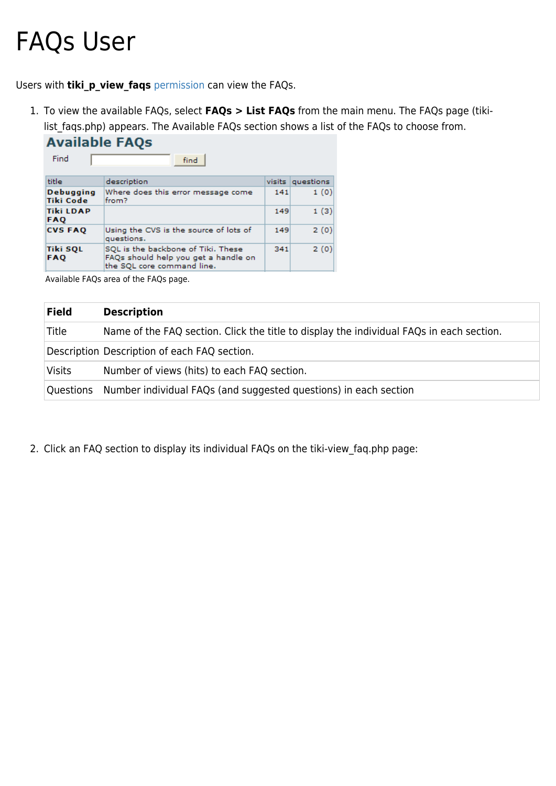# FAQs User

Users with **tiki\_p\_view\_faqs** [permission](https://doc.tiki.org/Permissions) can view the FAQs.

1. To view the available FAQs, select **FAQs > List FAQs** from the main menu. The FAQs page (tikilist\_faqs.php) appears. The Available FAQs section shows a list of the FAQs to choose from. Available EAOs

| <b>AVAILADIE FAUS</b><br>Find<br>find |                                                                                                          |        |           |
|---------------------------------------|----------------------------------------------------------------------------------------------------------|--------|-----------|
| title                                 | description                                                                                              | visits | questions |
| Debugging<br>Tiki Code                | Where does this error message come<br>from?                                                              | 141    | 1(0)      |
| <b>Tiki LDAP</b><br><b>FAQ</b>        |                                                                                                          | 149    | 1(3)      |
| <b>CVS FAO</b>                        | Using the CVS is the source of lots of<br>questions.                                                     | 149    | 2(0)      |
| Tiki SQL<br><b>FAO</b>                | SQL is the backbone of Tiki. These<br>FAQs should help you get a handle on<br>the SQL core command line. | 341    | 2(0)      |

Available FAQs area of the FAQs page.

| <b>Field</b>                                 | <b>Description</b>                                                                       |  |
|----------------------------------------------|------------------------------------------------------------------------------------------|--|
| Title                                        | Name of the FAQ section. Click the title to display the individual FAQs in each section. |  |
| Description Description of each FAQ section. |                                                                                          |  |
| <b>Visits</b>                                | Number of views (hits) to each FAQ section.                                              |  |
| Questions                                    | Number individual FAQs (and suggested questions) in each section                         |  |

2. Click an FAQ section to display its individual FAQs on the tiki-view\_faq.php page: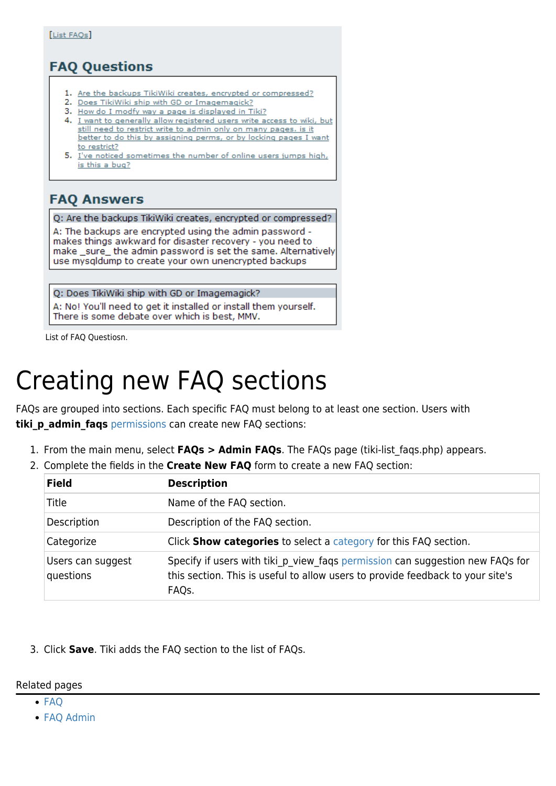### **FAQ Questions**

- 1. Are the backups TikiWiki creates, encrypted or compressed?
- 2. Does TikiWiki ship with GD or Imagemagick?
- 3. How do I modfy way a page is displayed in Tiki?
- 4. I want to generally allow registered users write access to wiki, but still need to restrict write to admin only on many pages, is it better to do this by assigning perms, or by locking pages I want to restrict?
- 5. I've noticed sometimes the number of online users jumps high, is this a bug?

#### **FAQ Answers**

Q: Are the backups TikiWiki creates, encrypted or compressed?

A: The backups are encrypted using the admin password makes things awkward for disaster recovery - you need to make sure the admin password is set the same. Alternatively use mysqldump to create your own unencrypted backups

Q: Does TikiWiki ship with GD or Imagemagick? A: No! You'll need to get it installed or install them yourself. There is some debate over which is best, MMV.

List of FAQ Questiosn.

## Creating new FAQ sections

FAQs are grouped into sections. Each specific FAQ must belong to at least one section. Users with **tiki p admin faqs** [permissions](https://doc.tiki.org/Permissions) can create new FAQ sections:

- 1. From the main menu, select **FAQs > Admin FAQs**. The FAQs page (tiki-list\_faqs.php) appears.
- 2. Complete the fields in the **Create New FAQ** form to create a new FAQ section:

| <b>Field</b>                   | <b>Description</b>                                                                                                                                                                    |  |
|--------------------------------|---------------------------------------------------------------------------------------------------------------------------------------------------------------------------------------|--|
| Title                          | Name of the FAQ section.                                                                                                                                                              |  |
| Description                    | Description of the FAQ section.                                                                                                                                                       |  |
| Categorize                     | Click <b>Show categories</b> to select a category for this FAQ section.                                                                                                               |  |
| Users can suggest<br>questions | Specify if users with tiki p view faqs permission can suggestion new FAQs for<br>this section. This is useful to allow users to provide feedback to your site's<br>FAQ <sub>S</sub> . |  |

3. Click **Save**. Tiki adds the FAQ section to the list of FAQs.

#### Related pages

- $-FAO$
- [FAQ Admin](https://doc.tiki.org/FAQ-Admin)